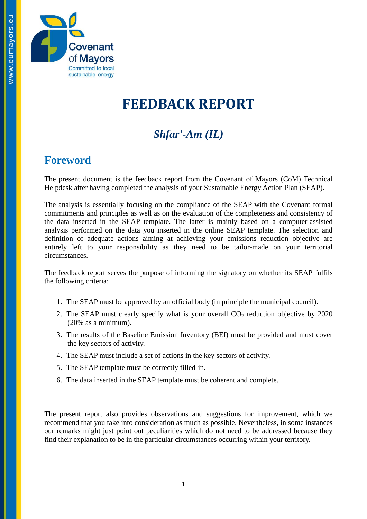

# **FEEDBACK REPORT**

# *Shfar'-Am (IL)*

### **Foreword**

The present document is the feedback report from the Covenant of Mayors (CoM) Technical Helpdesk after having completed the analysis of your Sustainable Energy Action Plan (SEAP).

The analysis is essentially focusing on the compliance of the SEAP with the Covenant formal commitments and principles as well as on the evaluation of the completeness and consistency of the data inserted in the SEAP template. The latter is mainly based on a computer-assisted analysis performed on the data you inserted in the online SEAP template. The selection and definition of adequate actions aiming at achieving your emissions reduction objective are entirely left to your responsibility as they need to be tailor-made on your territorial circumstances.

The feedback report serves the purpose of informing the signatory on whether its SEAP fulfils the following criteria:

- 1. The SEAP must be approved by an official body (in principle the municipal council).
- 2. The SEAP must clearly specify what is your overall  $CO<sub>2</sub>$  reduction objective by 2020 (20% as a minimum).
- 3. The results of the Baseline Emission Inventory (BEI) must be provided and must cover the key sectors of activity.
- 4. The SEAP must include a set of actions in the key sectors of activity.
- 5. The SEAP template must be correctly filled-in.
- 6. The data inserted in the SEAP template must be coherent and complete.

The present report also provides observations and suggestions for improvement, which we recommend that you take into consideration as much as possible. Nevertheless, in some instances our remarks might just point out peculiarities which do not need to be addressed because they find their explanation to be in the particular circumstances occurring within your territory.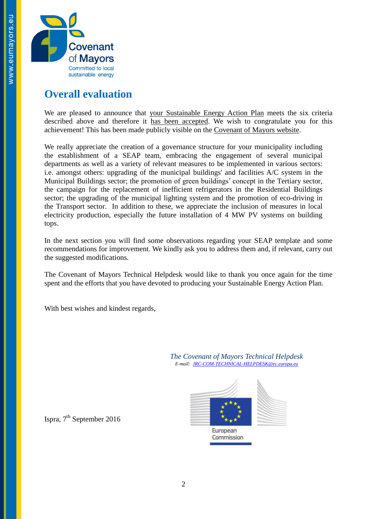

### **Overall evaluation**

We are pleased to announce that your Sustainable Energy Action Plan meets the six criteria described above and therefore it has been accepted. We wish to congratulate you for this achievement! This has been made publicly visible on the [Covenant of Mayors website.](http://www.eumayors.eu/actions/sustainable-energy-action-plans_en.html?city=&x=0&y=0&country_seap=&co2=&date_of_approval=&accepted=)

We really appreciate the creation of a governance structure for your municipality including the establishment of a SEAP team, embracing the engagement of several municipal departments as well as a variety of relevant measures to be implemented in various sectors: i.e. amongst others: upgrading of the municipal buildings' and facilities A/C system in the Municipal Buildings sector; the promotion of green buildings' concept in the Tertiary sector, the campaign for the replacement of inefficient refrigerators in the Residential Buildings sector; the upgrading of the municipal lighting system and the promotion of eco-driving in the Transport sector. In addition to these, we appreciate the inclusion of measures in local electricity production, especially the future installation of 4 MW PV systems on building tops.

In the next section you will find some observations regarding your SEAP template and some recommendations for improvement. We kindly ask you to address them and, if relevant, carry out the suggested modifications.

The Covenant of Mayors Technical Helpdesk would like to thank you once again for the time spent and the efforts that you have devoted to producing your Sustainable Energy Action Plan.

With best wishes and kindest regards,

*The Covenant of Mayors Technical Helpdesk E-mail: [JRC-COM-TECHNICAL-HELPDESK@ec.europa.eu](mailto:JRC-COM-TECHNICAL-HELPDESK@ec.europa.eu)*



Commission



Ispra, 7<sup>th</sup> September 2016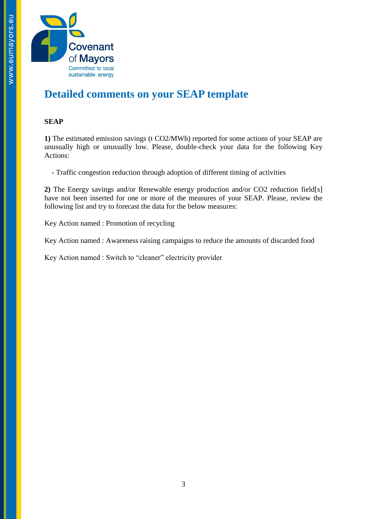

## **Detailed comments on your SEAP template**

#### **SEAP**

**1)** The estimated emission savings (t CO2/MWh) reported for some actions of your SEAP are unusually high or unusually low. Please, double-check your data for the following Key Actions:

- Traffic congestion reduction through adoption of different timing of activities

**2)** The Energy savings and/or Renewable energy production and/or CO2 reduction field[s] have not been inserted for one or more of the measures of your SEAP. Please, review the following list and try to forecast the data for the below measures:

Key Action named : Promotion of recycling

Key Action named : Awareness raising campaigns to reduce the amounts of discarded food

Key Action named : Switch to "cleaner" electricity provider